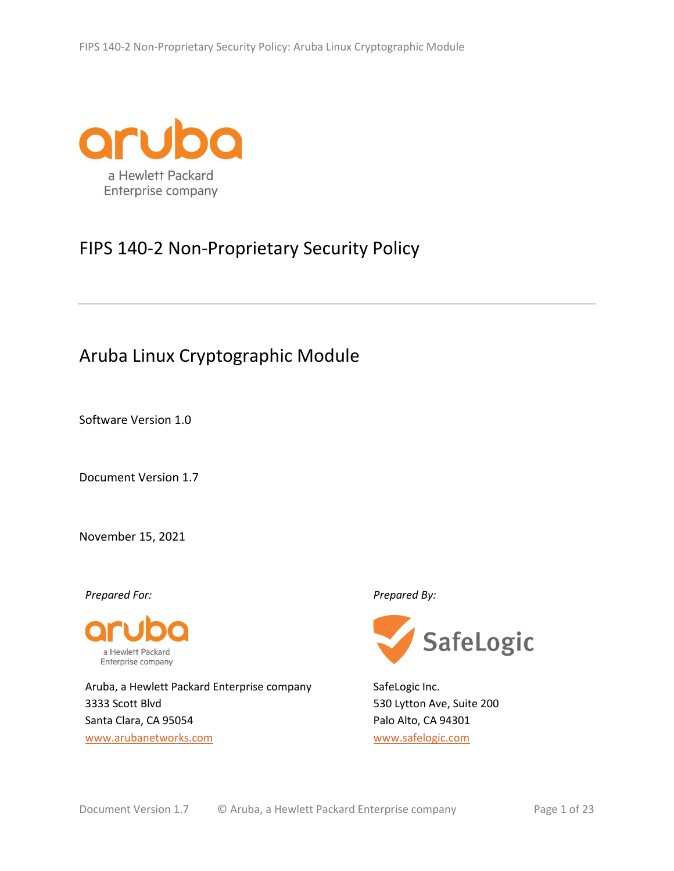

# FIPS 140-2 Non-Proprietary Security Policy

# Aruba Linux Cryptographic Module

Software Version 1.0

Document Version 1.7

November 15, 2021

*Prepared For: Prepared By:*



Aruba, a Hewlett Packard Enterprise company 3333 Scott Blvd Santa Clara, CA 95054 [www.arubanetworks.com](http://www.arubanetworks.com/)



SafeLogic Inc. 530 Lytton Ave, Suite 200 Palo Alto, CA 94301 [www.safelogic.com](http://www.safelogic.com/)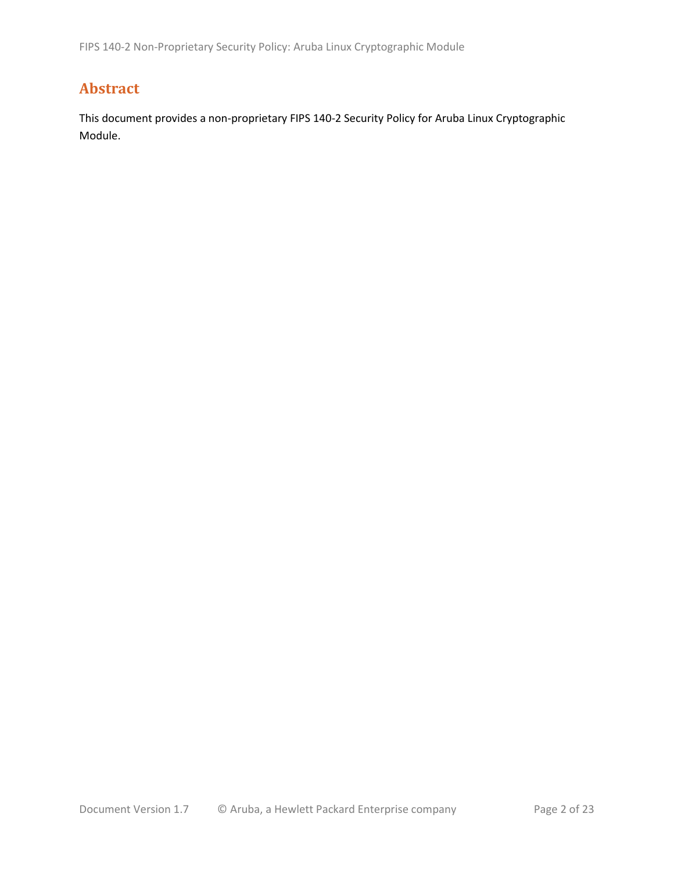# **Abstract**

This document provides a non-proprietary FIPS 140-2 Security Policy for Aruba Linux Cryptographic Module.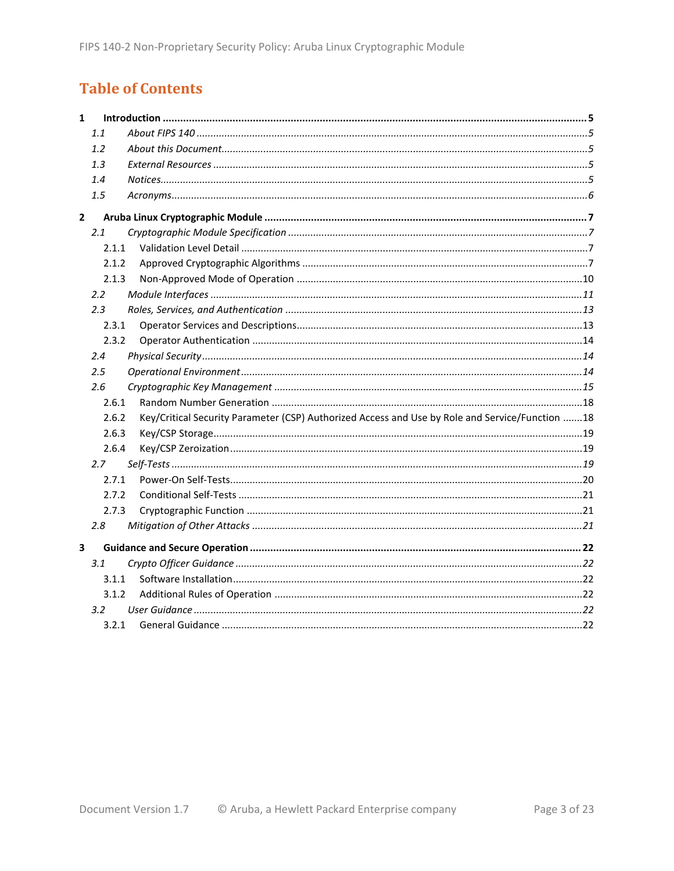# **Table of Contents**

| $\mathbf{1}$ |               |                                                                                                 |  |
|--------------|---------------|-------------------------------------------------------------------------------------------------|--|
|              | 1.1           |                                                                                                 |  |
|              | 1.2           |                                                                                                 |  |
|              | 1.3           |                                                                                                 |  |
|              | 1.4           |                                                                                                 |  |
|              | 1.5           |                                                                                                 |  |
| $\mathbf{2}$ |               |                                                                                                 |  |
|              | 2.1           |                                                                                                 |  |
|              | 2.1.1         |                                                                                                 |  |
|              | 2.1.2         |                                                                                                 |  |
|              | 2.1.3         |                                                                                                 |  |
|              | $2.2^{\circ}$ |                                                                                                 |  |
|              | 2.3           |                                                                                                 |  |
|              | 2.3.1         |                                                                                                 |  |
|              | 2.3.2         |                                                                                                 |  |
|              | 2.4           |                                                                                                 |  |
|              | $2.5\,$       |                                                                                                 |  |
|              | 2.6           |                                                                                                 |  |
|              | 2.6.1         |                                                                                                 |  |
|              | 2.6.2         | Key/Critical Security Parameter (CSP) Authorized Access and Use by Role and Service/Function 18 |  |
|              | 2.6.3         |                                                                                                 |  |
|              | 2.6.4         |                                                                                                 |  |
|              | 2.7           |                                                                                                 |  |
|              | 2.7.1         |                                                                                                 |  |
|              | 2.7.2         |                                                                                                 |  |
|              | 2.7.3         |                                                                                                 |  |
|              | 2.8           |                                                                                                 |  |
| 3            |               |                                                                                                 |  |
|              | 3.1           |                                                                                                 |  |
|              | 3.1.1         |                                                                                                 |  |
|              | 3.1.2         |                                                                                                 |  |
|              | $3.2^{\circ}$ |                                                                                                 |  |
|              | 3.2.1         |                                                                                                 |  |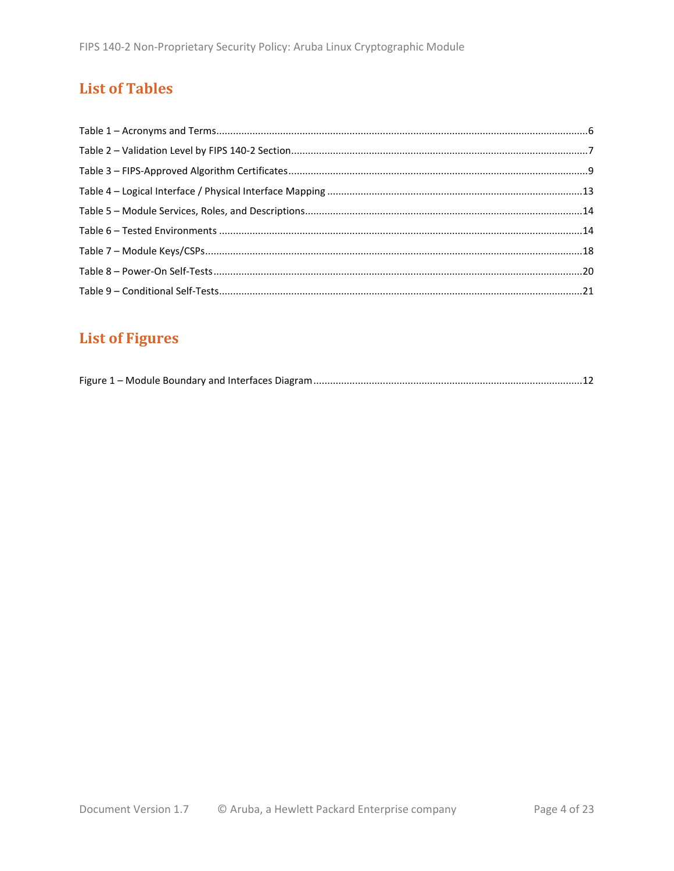# **List of Tables**

# **List of Figures**

|--|--|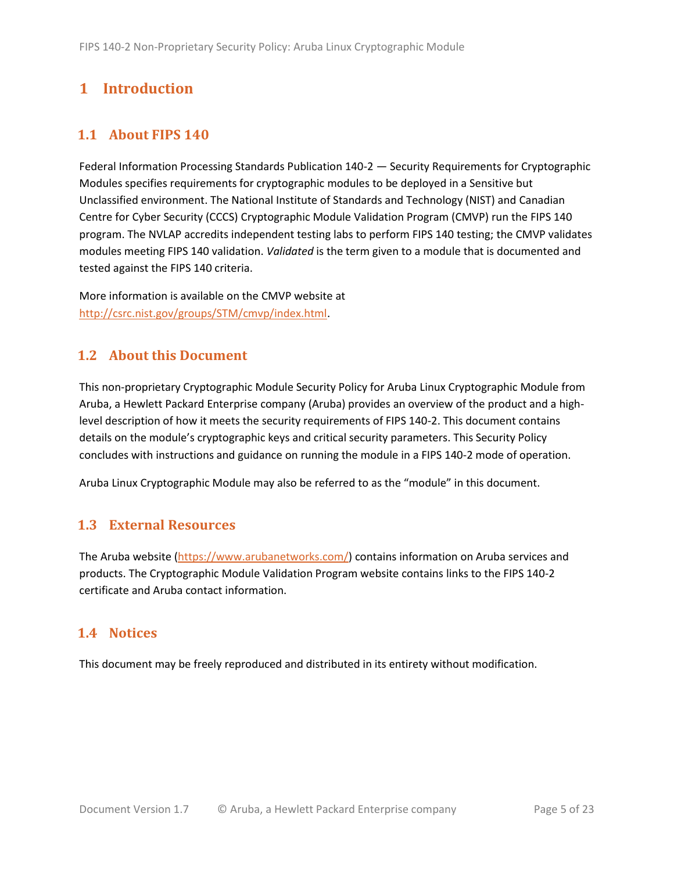# <span id="page-4-0"></span>**1 Introduction**

# <span id="page-4-1"></span>**1.1 About FIPS 140**

Federal Information Processing Standards Publication 140-2 — Security Requirements for Cryptographic Modules specifies requirements for cryptographic modules to be deployed in a Sensitive but Unclassified environment. The National Institute of Standards and Technology (NIST) and Canadian Centre for Cyber Security (CCCS) Cryptographic Module Validation Program (CMVP) run the FIPS 140 program. The NVLAP accredits independent testing labs to perform FIPS 140 testing; the CMVP validates modules meeting FIPS 140 validation. *Validated* is the term given to a module that is documented and tested against the FIPS 140 criteria.

More information is available on the CMVP website at [http://csrc.nist.gov/groups/STM/cmvp/index.html.](http://csrc.nist.gov/groups/STM/cmvp/index.html)

## <span id="page-4-2"></span>**1.2 About this Document**

This non-proprietary Cryptographic Module Security Policy for Aruba Linux Cryptographic Module from Aruba, a Hewlett Packard Enterprise company (Aruba) provides an overview of the product and a highlevel description of how it meets the security requirements of FIPS 140-2. This document contains details on the module's cryptographic keys and critical security parameters. This Security Policy concludes with instructions and guidance on running the module in a FIPS 140-2 mode of operation.

Aruba Linux Cryptographic Module may also be referred to as the "module" in this document.

## <span id="page-4-3"></span>**1.3 External Resources**

The Aruba website [\(https://www.arubanetworks.com/\)](https://www.arubanetworks.com/) contains information on Aruba services and products. The Cryptographic Module Validation Program website contains links to the FIPS 140-2 certificate and Aruba contact information.

### <span id="page-4-4"></span>**1.4 Notices**

This document may be freely reproduced and distributed in its entirety without modification.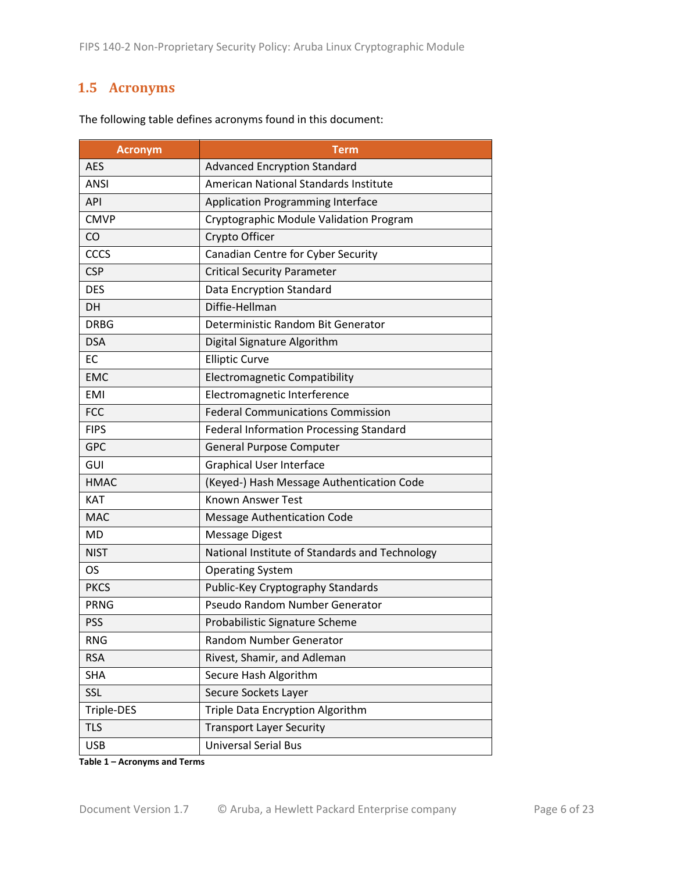# <span id="page-5-0"></span>**1.5 Acronyms**

| <b>Acronym</b>                                         | Term                                           |
|--------------------------------------------------------|------------------------------------------------|
| <b>AES</b>                                             | <b>Advanced Encryption Standard</b>            |
| <b>ANSI</b>                                            | American National Standards Institute          |
| <b>API</b><br><b>Application Programming Interface</b> |                                                |
| <b>CMVP</b>                                            | Cryptographic Module Validation Program        |
| CO                                                     | Crypto Officer                                 |
| CCCS                                                   | Canadian Centre for Cyber Security             |
| <b>CSP</b>                                             | <b>Critical Security Parameter</b>             |
| <b>DES</b>                                             | Data Encryption Standard                       |
| <b>DH</b>                                              | Diffie-Hellman                                 |
| <b>DRBG</b>                                            | Deterministic Random Bit Generator             |
| <b>DSA</b>                                             | Digital Signature Algorithm                    |
| <b>EC</b>                                              | <b>Elliptic Curve</b>                          |
| <b>EMC</b>                                             | <b>Electromagnetic Compatibility</b>           |
| <b>EMI</b>                                             | Electromagnetic Interference                   |
| <b>FCC</b>                                             | <b>Federal Communications Commission</b>       |
| <b>FIPS</b>                                            | <b>Federal Information Processing Standard</b> |
| <b>GPC</b>                                             | General Purpose Computer                       |
| GUI                                                    | <b>Graphical User Interface</b>                |
| <b>HMAC</b>                                            | (Keyed-) Hash Message Authentication Code      |
| <b>KAT</b>                                             | <b>Known Answer Test</b>                       |
| <b>MAC</b>                                             | <b>Message Authentication Code</b>             |
| <b>MD</b>                                              | <b>Message Digest</b>                          |
| <b>NIST</b>                                            | National Institute of Standards and Technology |
| <b>OS</b>                                              | <b>Operating System</b>                        |
| <b>PKCS</b>                                            | Public-Key Cryptography Standards              |
| <b>PRNG</b>                                            | Pseudo Random Number Generator                 |
| <b>PSS</b>                                             | Probabilistic Signature Scheme                 |
| <b>RNG</b>                                             | Random Number Generator                        |
| <b>RSA</b>                                             | Rivest, Shamir, and Adleman                    |
| <b>SHA</b>                                             | Secure Hash Algorithm                          |
| SSL                                                    | Secure Sockets Layer                           |
| Triple-DES                                             | Triple Data Encryption Algorithm               |
| <b>TLS</b>                                             | <b>Transport Layer Security</b>                |
| <b>USB</b>                                             | <b>Universal Serial Bus</b>                    |

The following table defines acronyms found in this document:

**Table 1 – Acronyms and Terms**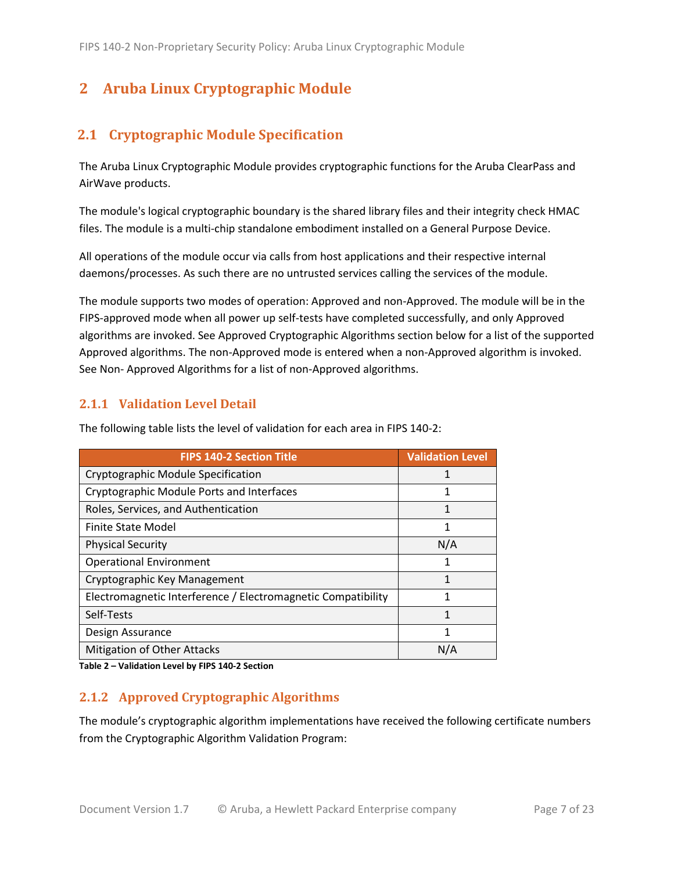# <span id="page-6-0"></span>**2 Aruba Linux Cryptographic Module**

# <span id="page-6-1"></span>**2.1 Cryptographic Module Specification**

The Aruba Linux Cryptographic Module provides cryptographic functions for the Aruba ClearPass and AirWave products.

The module's logical cryptographic boundary is the shared library files and their integrity check HMAC files. The module is a multi-chip standalone embodiment installed on a General Purpose Device.

All operations of the module occur via calls from host applications and their respective internal daemons/processes. As such there are no untrusted services calling the services of the module.

The module supports two modes of operation: Approved and non-Approved. The module will be in the FIPS-approved mode when all power up self-tests have completed successfully, and only Approved algorithms are invoked. See Approved Cryptographic Algorithms section below for a list of the supported Approved algorithms. The non-Approved mode is entered when a non-Approved algorithm is invoked. See Non- Approved Algorithms for a list of non-Approved algorithms.

### <span id="page-6-2"></span>**2.1.1 Validation Level Detail**

| <b>FIPS 140-2 Section Title</b>                              | <b>Validation Level</b> |
|--------------------------------------------------------------|-------------------------|
| Cryptographic Module Specification                           |                         |
| Cryptographic Module Ports and Interfaces                    | 1                       |
| Roles, Services, and Authentication                          |                         |
| <b>Finite State Model</b>                                    | 1                       |
| <b>Physical Security</b>                                     | N/A                     |
| <b>Operational Environment</b>                               | 1                       |
| Cryptographic Key Management                                 | 1                       |
| Electromagnetic Interference / Electromagnetic Compatibility | 1                       |
| Self-Tests                                                   | 1                       |
| Design Assurance                                             | 1                       |
| <b>Mitigation of Other Attacks</b>                           | N/A                     |

The following table lists the level of validation for each area in FIPS 140-2:

**Table 2 – Validation Level by FIPS 140-2 Section**

### <span id="page-6-3"></span>**2.1.2 Approved Cryptographic Algorithms**

The module's cryptographic algorithm implementations have received the following certificate numbers from the Cryptographic Algorithm Validation Program: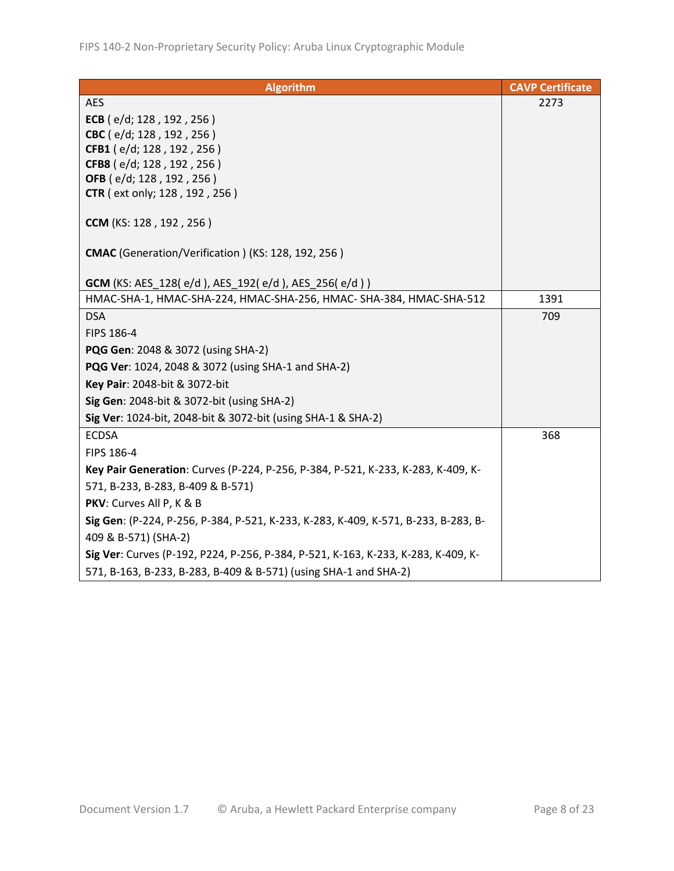| <b>Algorithm</b>                                                                   | <b>CAVP Certificate</b> |
|------------------------------------------------------------------------------------|-------------------------|
| <b>AES</b>                                                                         | 2273                    |
| ECB (e/d; 128, 192, 256)                                                           |                         |
| CBC (e/d; 128, 192, 256)                                                           |                         |
| CFB1 (e/d; 128, 192, 256)                                                          |                         |
| CFB8 (e/d; 128, 192, 256)                                                          |                         |
| OFB (e/d; 128, 192, 256)                                                           |                         |
| <b>CTR</b> (ext only; 128, 192, 256)                                               |                         |
| CCM (KS: 128, 192, 256)                                                            |                         |
| CMAC (Generation/Verification) (KS: 128, 192, 256)                                 |                         |
| <b>GCM</b> (KS: AES_128(e/d), AES_192(e/d), AES_256(e/d))                          |                         |
| HMAC-SHA-1, HMAC-SHA-224, HMAC-SHA-256, HMAC- SHA-384, HMAC-SHA-512                | 1391                    |
| <b>DSA</b>                                                                         | 709                     |
| FIPS 186-4                                                                         |                         |
| <b>PQG Gen: 2048 &amp; 3072 (using SHA-2)</b>                                      |                         |
| PQG Ver: 1024, 2048 & 3072 (using SHA-1 and SHA-2)                                 |                         |
| Key Pair: 2048-bit & 3072-bit                                                      |                         |
| Sig Gen: 2048-bit & 3072-bit (using SHA-2)                                         |                         |
| Sig Ver: 1024-bit, 2048-bit & 3072-bit (using SHA-1 & SHA-2)                       |                         |
| <b>ECDSA</b>                                                                       | 368                     |
| FIPS 186-4                                                                         |                         |
| Key Pair Generation: Curves (P-224, P-256, P-384, P-521, K-233, K-283, K-409, K-   |                         |
| 571, B-233, B-283, B-409 & B-571)                                                  |                         |
| PKV: Curves All P, K & B                                                           |                         |
| Sig Gen: (P-224, P-256, P-384, P-521, K-233, K-283, K-409, K-571, B-233, B-283, B- |                         |
| 409 & B-571) (SHA-2)                                                               |                         |
| Sig Ver: Curves (P-192, P224, P-256, P-384, P-521, K-163, K-233, K-283, K-409, K-  |                         |
| 571, B-163, B-233, B-283, B-409 & B-571) (using SHA-1 and SHA-2)                   |                         |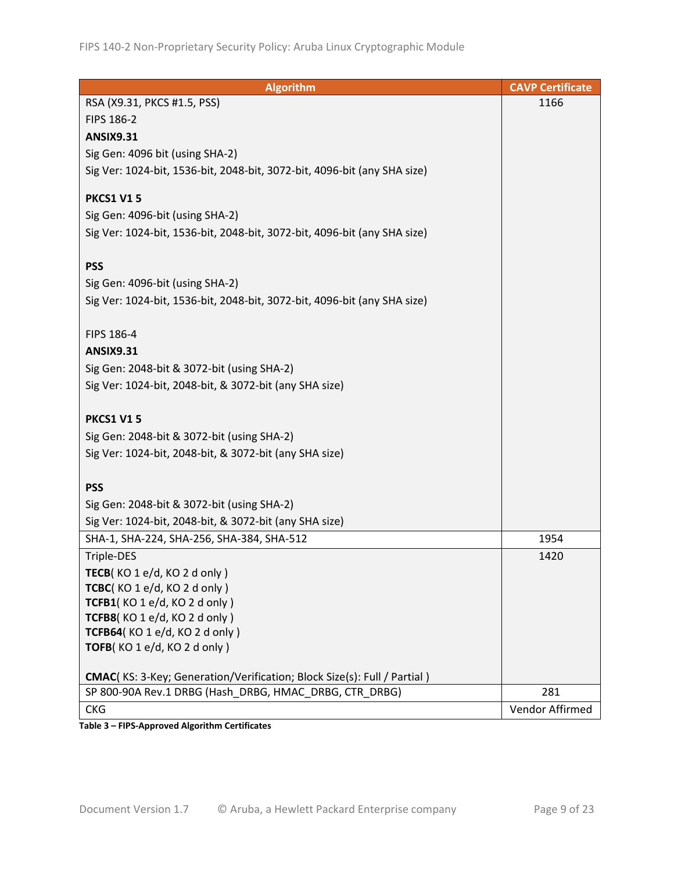| <b>Algorithm</b>                                                                | <b>CAVP Certificate</b> |
|---------------------------------------------------------------------------------|-------------------------|
| RSA (X9.31, PKCS #1.5, PSS)                                                     | 1166                    |
| FIPS 186-2                                                                      |                         |
| <b>ANSIX9.31</b>                                                                |                         |
| Sig Gen: 4096 bit (using SHA-2)                                                 |                         |
| Sig Ver: 1024-bit, 1536-bit, 2048-bit, 3072-bit, 4096-bit (any SHA size)        |                         |
|                                                                                 |                         |
| <b>PKCS1 V15</b>                                                                |                         |
| Sig Gen: 4096-bit (using SHA-2)                                                 |                         |
| Sig Ver: 1024-bit, 1536-bit, 2048-bit, 3072-bit, 4096-bit (any SHA size)        |                         |
|                                                                                 |                         |
| <b>PSS</b>                                                                      |                         |
| Sig Gen: 4096-bit (using SHA-2)                                                 |                         |
| Sig Ver: 1024-bit, 1536-bit, 2048-bit, 3072-bit, 4096-bit (any SHA size)        |                         |
|                                                                                 |                         |
| FIPS 186-4                                                                      |                         |
| <b>ANSIX9.31</b>                                                                |                         |
| Sig Gen: 2048-bit & 3072-bit (using SHA-2)                                      |                         |
| Sig Ver: 1024-bit, 2048-bit, & 3072-bit (any SHA size)                          |                         |
|                                                                                 |                         |
| <b>PKCS1 V15</b>                                                                |                         |
| Sig Gen: 2048-bit & 3072-bit (using SHA-2)                                      |                         |
| Sig Ver: 1024-bit, 2048-bit, & 3072-bit (any SHA size)                          |                         |
|                                                                                 |                         |
| <b>PSS</b>                                                                      |                         |
| Sig Gen: 2048-bit & 3072-bit (using SHA-2)                                      |                         |
| Sig Ver: 1024-bit, 2048-bit, & 3072-bit (any SHA size)                          |                         |
| SHA-1, SHA-224, SHA-256, SHA-384, SHA-512                                       | 1954                    |
| Triple-DES                                                                      | 1420                    |
| TECB(KO 1 e/d, KO 2 d only)                                                     |                         |
| TCBC(KO 1 e/d, KO 2 d only)                                                     |                         |
| TCFB1(KO1e/d, KO2donly)                                                         |                         |
| TCFB8(KO 1 e/d, KO 2 d only)                                                    |                         |
| TCFB64(KO 1 e/d, KO 2 d only)                                                   |                         |
| TOFB(KO 1 e/d, KO 2 d only)                                                     |                         |
|                                                                                 |                         |
| <b>CMAC</b> (KS: 3-Key; Generation/Verification; Block Size(s): Full / Partial) |                         |
| SP 800-90A Rev.1 DRBG (Hash DRBG, HMAC DRBG, CTR DRBG)                          | 281                     |
| <b>CKG</b>                                                                      | Vendor Affirmed         |

**Table 3 – FIPS-Approved Algorithm Certificates**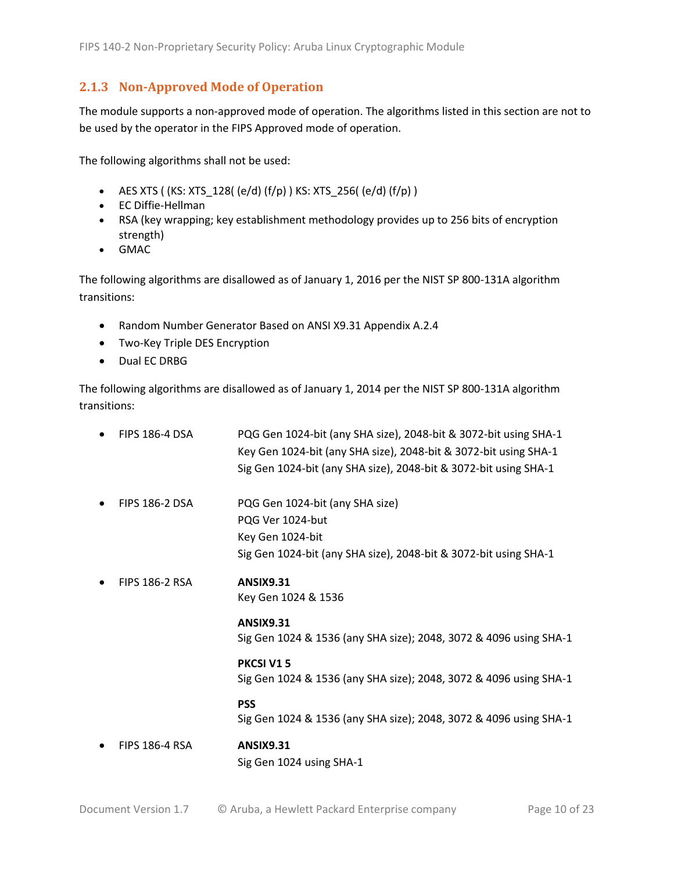#### <span id="page-9-0"></span>**2.1.3 Non-Approved Mode of Operation**

The module supports a non-approved mode of operation. The algorithms listed in this section are not to be used by the operator in the FIPS Approved mode of operation.

The following algorithms shall not be used:

- AES XTS (  $(KS: XTS_128$  (  $(e/d)$   $(f/p)$  )  $KS: XTS_256$  (  $(e/d)$   $(f/p)$  )
- EC Diffie-Hellman
- RSA (key wrapping; key establishment methodology provides up to 256 bits of encryption strength)
- GMAC

The following algorithms are disallowed as of January 1, 2016 per the NIST SP 800-131A algorithm transitions:

- Random Number Generator Based on ANSI X9.31 Appendix A.2.4
- Two-Key Triple DES Encryption
- Dual EC DRBG

The following algorithms are disallowed as of January 1, 2014 per the NIST SP 800-131A algorithm transitions:

• FIPS 186-4 DSA PQG Gen 1024-bit (any SHA size), 2048-bit & 3072-bit using SHA-1 Key Gen 1024-bit (any SHA size), 2048-bit & 3072-bit using SHA-1 Sig Gen 1024-bit (any SHA size), 2048-bit & 3072-bit using SHA-1 • FIPS 186-2 DSA PQG Gen 1024-bit (any SHA size) PQG Ver 1024-but Key Gen 1024-bit Sig Gen 1024-bit (any SHA size), 2048-bit & 3072-bit using SHA-1 • FIPS 186-2 RSA **ANSIX9.31** Key Gen 1024 & 1536 **ANSIX9.31** Sig Gen 1024 & 1536 (any SHA size); 2048, 3072 & 4096 using SHA-1 **PKCSI V1 5** Sig Gen 1024 & 1536 (any SHA size); 2048, 3072 & 4096 using SHA-1 **PSS** Sig Gen 1024 & 1536 (any SHA size); 2048, 3072 & 4096 using SHA-1 • FIPS 186-4 RSA **ANSIX9.31** Sig Gen 1024 using SHA-1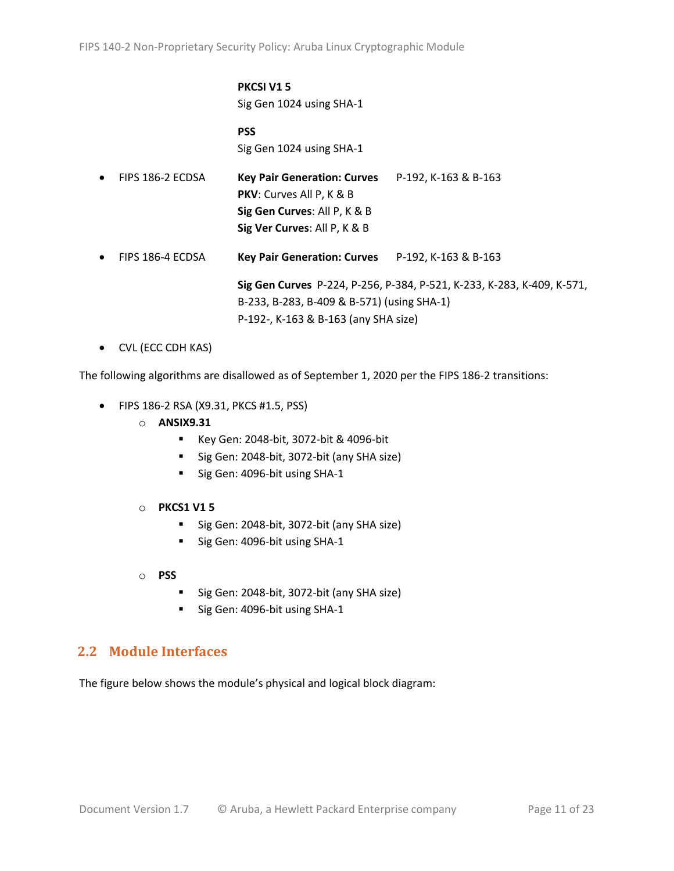#### **PKCSI V1 5** Sig Gen 1024 using SHA-1

**PSS** Sig Gen 1024 using SHA-1

| $\bullet$ | FIPS 186-2 ECDSA | Key Pair Generation: Curves P-192, K-163 & B-163<br><b>PKV:</b> Curves All P, K & B<br>Sig Gen Curves: All P, K & B<br>Sig Ver Curves: All P, K & B |                                                                        |
|-----------|------------------|-----------------------------------------------------------------------------------------------------------------------------------------------------|------------------------------------------------------------------------|
| $\bullet$ | FIPS 186-4 ECDSA | Key Pair Generation: Curves P-192, K-163 & B-163                                                                                                    |                                                                        |
|           |                  | B-233, B-283, B-409 & B-571) (using SHA-1)<br>P-192-, K-163 & B-163 (any SHA size)                                                                  | Sig Gen Curves P-224, P-256, P-384, P-521, K-233, K-283, K-409, K-571, |

• CVL (ECC CDH KAS)

The following algorithms are disallowed as of September 1, 2020 per the FIPS 186-2 transitions:

- FIPS 186-2 RSA (X9.31, PKCS #1.5, PSS)
	- o **ANSIX9.31**
		- Key Gen: 2048-bit, 3072-bit & 4096-bit
		- Sig Gen: 2048-bit, 3072-bit (any SHA size)
		- Sig Gen: 4096-bit using SHA-1
	- o **PKCS1 V1 5**
		- Sig Gen: 2048-bit, 3072-bit (any SHA size)
		- Sig Gen: 4096-bit using SHA-1
	- o **PSS**
		- Sig Gen: 2048-bit, 3072-bit (any SHA size)
		- Sig Gen: 4096-bit using SHA-1

### <span id="page-10-0"></span>**2.2 Module Interfaces**

The figure below shows the module's physical and logical block diagram: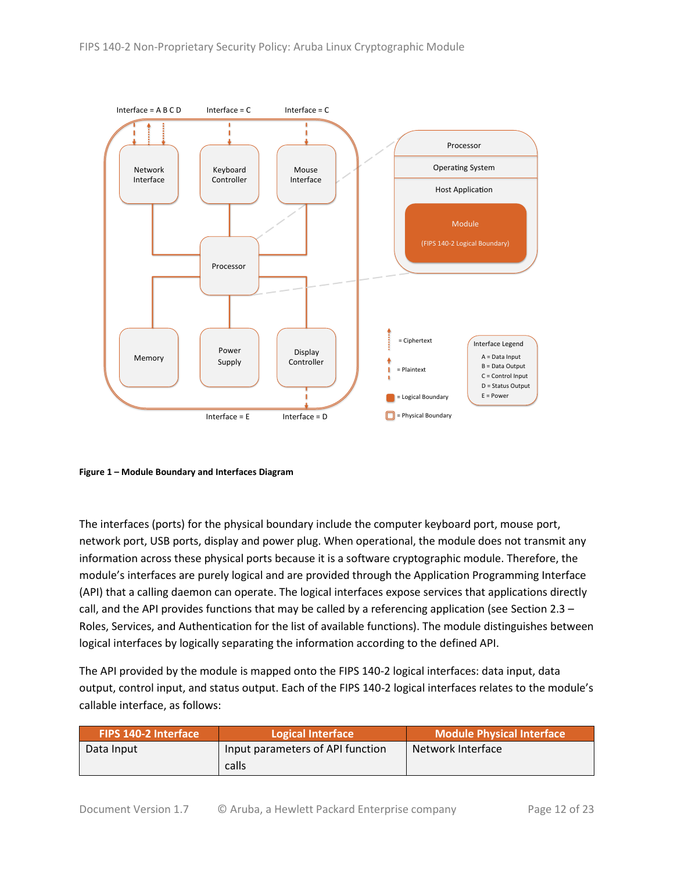

<span id="page-11-0"></span>**Figure 1 – Module Boundary and Interfaces Diagram**

The interfaces (ports) for the physical boundary include the computer keyboard port, mouse port, network port, USB ports, display and power plug. When operational, the module does not transmit any information across these physical ports because it is a software cryptographic module. Therefore, the module's interfaces are purely logical and are provided through the Application Programming Interface (API) that a calling daemon can operate. The logical interfaces expose services that applications directly call, and the API provides functions that may be called by a referencing application (see Sectio[n 2.3](#page-12-0) – [Roles, Services, and Authentication](#page-12-0) for the list of available functions). The module distinguishes between logical interfaces by logically separating the information according to the defined API.

The API provided by the module is mapped onto the FIPS 140-2 logical interfaces: data input, data output, control input, and status output. Each of the FIPS 140-2 logical interfaces relates to the module's callable interface, as follows:

| <b>FIPS 140-2 Interface</b> | Logical Interface                | <b>Module Physical Interface</b> |  |
|-----------------------------|----------------------------------|----------------------------------|--|
| Data Input                  | Input parameters of API function | Network Interface                |  |
|                             | calls                            |                                  |  |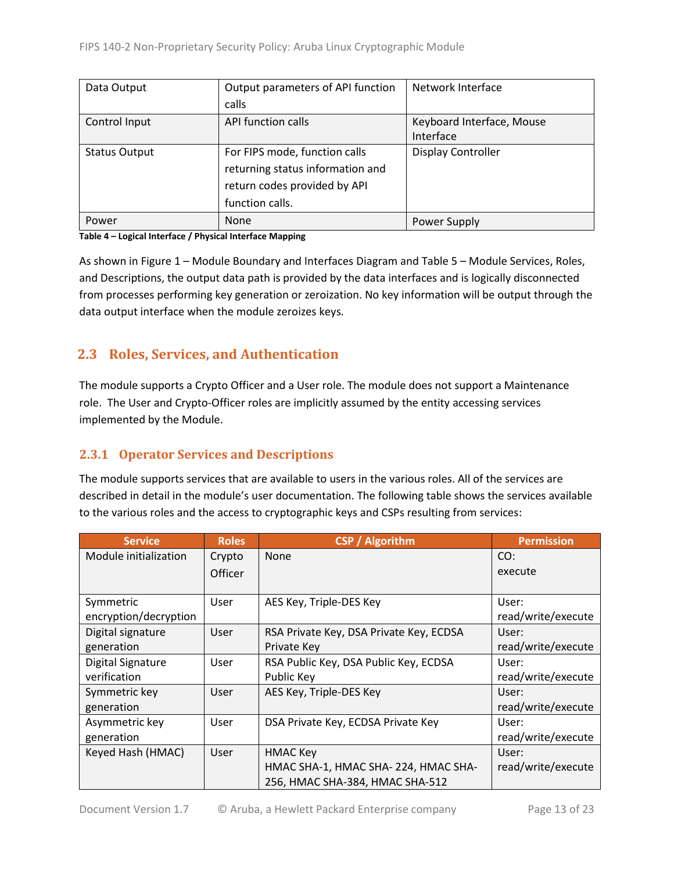| Data Output          | Output parameters of API function | Network Interface         |
|----------------------|-----------------------------------|---------------------------|
|                      | calls                             |                           |
| Control Input        | <b>API function calls</b>         | Keyboard Interface, Mouse |
|                      |                                   | Interface                 |
| <b>Status Output</b> | For FIPS mode, function calls     | <b>Display Controller</b> |
|                      | returning status information and  |                           |
|                      | return codes provided by API      |                           |
|                      | function calls.                   |                           |
| Power                | <b>None</b>                       | Power Supply              |

#### **Table 4 – Logical Interface / Physical Interface Mapping**

As shown in Figure 1 – [Module Boundary and Interfaces Diagram](#page-11-0) and Table 5 – Module [Services, Roles,](#page-13-3) [and Descriptions,](#page-13-3) the output data path is provided by the data interfaces and is logically disconnected from processes performing key generation or zeroization. No key information will be output through the data output interface when the module zeroizes keys.

## <span id="page-12-0"></span>**2.3 Roles, Services, and Authentication**

The module supports a Crypto Officer and a User role. The module does not support a Maintenance role. The User and Crypto-Officer roles are implicitly assumed by the entity accessing services implemented by the Module.

### <span id="page-12-1"></span>**2.3.1 Operator Services and Descriptions**

The module supports services that are available to users in the various roles. All of the services are described in detail in the module's user documentation. The following table shows the services available to the various roles and the access to cryptographic keys and CSPs resulting from services:

| <b>Service</b>        | <b>Roles</b> | <b>CSP</b> / Algorithm                  | <b>Permission</b>  |
|-----------------------|--------------|-----------------------------------------|--------------------|
| Module initialization | Crypto       | None                                    | CO:                |
|                       | Officer      |                                         | execute            |
|                       |              |                                         |                    |
| Symmetric             | User         | AES Key, Triple-DES Key                 | User:              |
| encryption/decryption |              |                                         | read/write/execute |
| Digital signature     | <b>User</b>  | RSA Private Key, DSA Private Key, ECDSA | User:              |
| generation            |              | Private Key                             | read/write/execute |
| Digital Signature     | User         | RSA Public Key, DSA Public Key, ECDSA   | User:              |
| verification          |              | Public Key                              | read/write/execute |
| Symmetric key         | User         | AES Key, Triple-DES Key                 | User:              |
| generation            |              |                                         | read/write/execute |
| Asymmetric key        | User         | DSA Private Key, ECDSA Private Key      | User:              |
| generation            |              |                                         | read/write/execute |
| Keyed Hash (HMAC)     | User         | <b>HMAC Key</b>                         | User:              |
|                       |              | HMAC SHA-1, HMAC SHA-224, HMAC SHA-     | read/write/execute |
|                       |              | 256, HMAC SHA-384, HMAC SHA-512         |                    |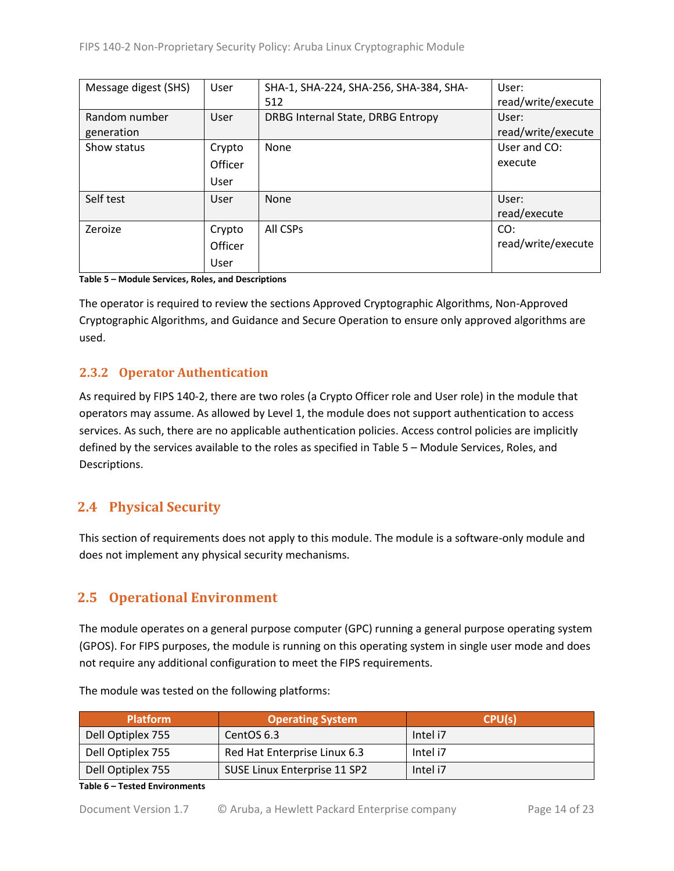| Message digest (SHS) | User    | SHA-1, SHA-224, SHA-256, SHA-384, SHA- | User:              |
|----------------------|---------|----------------------------------------|--------------------|
|                      |         | 512                                    | read/write/execute |
| Random number        | User    | DRBG Internal State, DRBG Entropy      | User:              |
| generation           |         |                                        | read/write/execute |
| Show status          | Crypto  | None                                   | User and CO:       |
|                      | Officer |                                        | execute            |
|                      | User    |                                        |                    |
| Self test            | User    | None                                   | User:              |
|                      |         |                                        | read/execute       |
| Zeroize              | Crypto  | All CSPs                               | CO:                |
|                      | Officer |                                        | read/write/execute |
|                      | User    |                                        |                    |

<span id="page-13-3"></span>**Table 5 – Module Services, Roles, and Descriptions**

The operator is required to review the sections Approved Cryptographic Algorithms, Non-Approved Cryptographic Algorithms, and Guidance and Secure Operation to ensure only approved algorithms are used.

## <span id="page-13-0"></span>**2.3.2 Operator Authentication**

As required by FIPS 140-2, there are two roles (a Crypto Officer role and User role) in the module that operators may assume. As allowed by Level 1, the module does not support authentication to access services. As such, there are no applicable authentication policies. Access control policies are implicitly defined by the services available to the roles as specified in Table 5 – Module [Services, Roles,](#page-13-3) and [Descriptions.](#page-13-3)

# <span id="page-13-1"></span>**2.4 Physical Security**

This section of requirements does not apply to this module. The module is a software-only module and does not implement any physical security mechanisms.

# <span id="page-13-2"></span>**2.5 Operational Environment**

The module operates on a general purpose computer (GPC) running a general purpose operating system (GPOS). For FIPS purposes, the module is running on this operating system in single user mode and does not require any additional configuration to meet the FIPS requirements.

| <b>Platform</b>   | <b>Operating System</b>      | CPU(s)   |
|-------------------|------------------------------|----------|
| Dell Optiplex 755 | CentOS 6.3                   | Intel i7 |
| Dell Optiplex 755 | Red Hat Enterprise Linux 6.3 | Intel i7 |
| Dell Optiplex 755 | SUSE Linux Enterprise 11 SP2 | Intel i7 |

The module was tested on the following platforms:

#### **Table 6 – Tested Environments**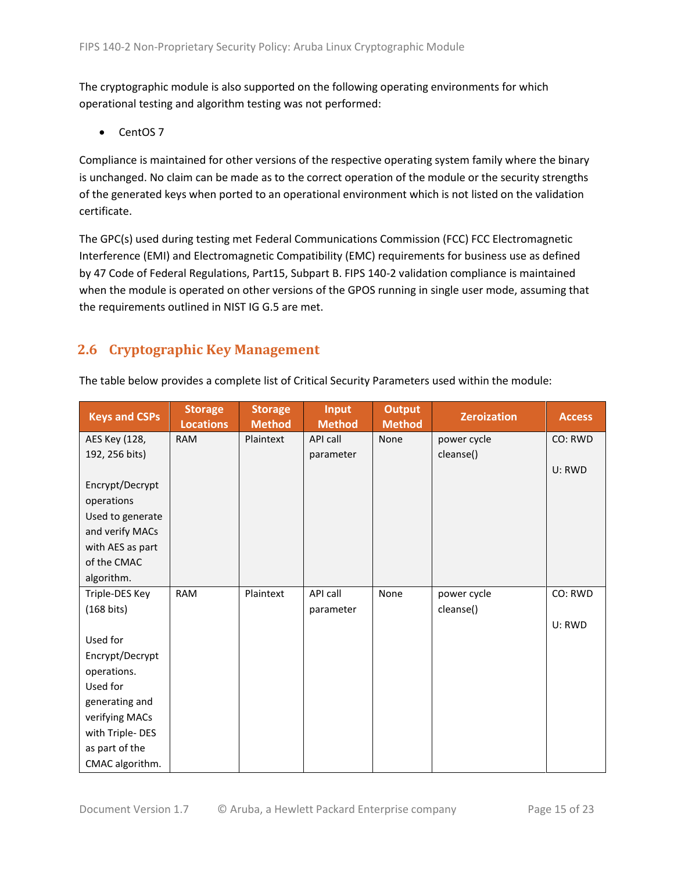The cryptographic module is also supported on the following operating environments for which operational testing and algorithm testing was not performed:

• CentOS 7

Compliance is maintained for other versions of the respective operating system family where the binary is unchanged. No claim can be made as to the correct operation of the module or the security strengths of the generated keys when ported to an operational environment which is not listed on the validation certificate.

The GPC(s) used during testing met Federal Communications Commission (FCC) FCC Electromagnetic Interference (EMI) and Electromagnetic Compatibility (EMC) requirements for business use as defined by 47 Code of Federal Regulations, Part15, Subpart B. FIPS 140-2 validation compliance is maintained when the module is operated on other versions of the GPOS running in single user mode, assuming that the requirements outlined in NIST IG G.5 are met.

# <span id="page-14-0"></span>**2.6 Cryptographic Key Management**

| <b>Keys and CSPs</b> | <b>Storage</b><br><b>Locations</b> | <b>Storage</b><br><b>Method</b> | <b>Input</b><br><b>Method</b> | <b>Output</b><br><b>Method</b> | <b>Zeroization</b> | <b>Access</b> |
|----------------------|------------------------------------|---------------------------------|-------------------------------|--------------------------------|--------------------|---------------|
| AES Key (128,        | <b>RAM</b>                         | Plaintext                       | API call                      | None                           | power cycle        | CO: RWD       |
| 192, 256 bits)       |                                    |                                 | parameter                     |                                | cleanse()          |               |
|                      |                                    |                                 |                               |                                |                    | U: RWD        |
| Encrypt/Decrypt      |                                    |                                 |                               |                                |                    |               |
| operations           |                                    |                                 |                               |                                |                    |               |
| Used to generate     |                                    |                                 |                               |                                |                    |               |
| and verify MACs      |                                    |                                 |                               |                                |                    |               |
| with AES as part     |                                    |                                 |                               |                                |                    |               |
| of the CMAC          |                                    |                                 |                               |                                |                    |               |
| algorithm.           |                                    |                                 |                               |                                |                    |               |
| Triple-DES Key       | <b>RAM</b>                         | Plaintext                       | API call                      | None                           | power cycle        | CO: RWD       |
| $(168 \text{ bits})$ |                                    |                                 | parameter                     |                                | cleanse()          |               |
|                      |                                    |                                 |                               |                                |                    | U: RWD        |
| Used for             |                                    |                                 |                               |                                |                    |               |
| Encrypt/Decrypt      |                                    |                                 |                               |                                |                    |               |
| operations.          |                                    |                                 |                               |                                |                    |               |
| Used for             |                                    |                                 |                               |                                |                    |               |
| generating and       |                                    |                                 |                               |                                |                    |               |
| verifying MACs       |                                    |                                 |                               |                                |                    |               |
| with Triple-DES      |                                    |                                 |                               |                                |                    |               |
| as part of the       |                                    |                                 |                               |                                |                    |               |
| CMAC algorithm.      |                                    |                                 |                               |                                |                    |               |

The table below provides a complete list of Critical Security Parameters used within the module: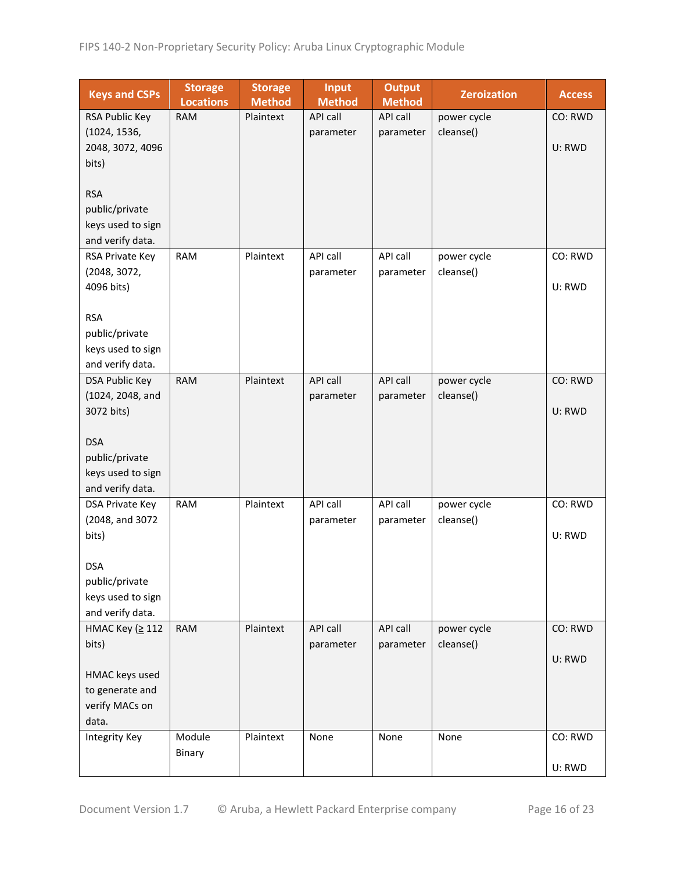| <b>Keys and CSPs</b>                  | <b>Storage</b><br><b>Locations</b> | <b>Storage</b><br><b>Method</b> | <b>Input</b><br><b>Method</b> | <b>Output</b><br><b>Method</b> | <b>Zeroization</b> | <b>Access</b> |
|---------------------------------------|------------------------------------|---------------------------------|-------------------------------|--------------------------------|--------------------|---------------|
| RSA Public Key                        | <b>RAM</b>                         | Plaintext                       | API call                      | API call                       | power cycle        | CO: RWD       |
| (1024, 1536,                          |                                    |                                 | parameter                     | parameter                      | cleanse()          |               |
| 2048, 3072, 4096                      |                                    |                                 |                               |                                |                    | U: RWD        |
| bits)                                 |                                    |                                 |                               |                                |                    |               |
|                                       |                                    |                                 |                               |                                |                    |               |
| <b>RSA</b>                            |                                    |                                 |                               |                                |                    |               |
| public/private                        |                                    |                                 |                               |                                |                    |               |
| keys used to sign                     |                                    |                                 |                               |                                |                    |               |
| and verify data.                      |                                    |                                 |                               |                                |                    |               |
| RSA Private Key                       | <b>RAM</b>                         | Plaintext                       | API call                      | API call                       | power cycle        | CO: RWD       |
| (2048, 3072,                          |                                    |                                 | parameter                     | parameter                      | cleanse()          | U: RWD        |
| 4096 bits)                            |                                    |                                 |                               |                                |                    |               |
| <b>RSA</b>                            |                                    |                                 |                               |                                |                    |               |
| public/private                        |                                    |                                 |                               |                                |                    |               |
| keys used to sign                     |                                    |                                 |                               |                                |                    |               |
| and verify data.                      |                                    |                                 |                               |                                |                    |               |
| <b>DSA Public Key</b>                 | <b>RAM</b>                         | Plaintext                       | <b>API call</b>               | API call                       | power cycle        | CO: RWD       |
| (1024, 2048, and                      |                                    |                                 | parameter                     | parameter                      | cleanse()          |               |
| 3072 bits)                            |                                    |                                 |                               |                                |                    | U: RWD        |
|                                       |                                    |                                 |                               |                                |                    |               |
| <b>DSA</b>                            |                                    |                                 |                               |                                |                    |               |
| public/private                        |                                    |                                 |                               |                                |                    |               |
| keys used to sign<br>and verify data. |                                    |                                 |                               |                                |                    |               |
| DSA Private Key                       | <b>RAM</b>                         | Plaintext                       | API call                      | API call                       | power cycle        | CO: RWD       |
| (2048, and 3072                       |                                    |                                 | parameter                     | parameter                      | cleanse()          |               |
| bits)                                 |                                    |                                 |                               |                                |                    | U: RWD        |
|                                       |                                    |                                 |                               |                                |                    |               |
| <b>DSA</b>                            |                                    |                                 |                               |                                |                    |               |
| public/private                        |                                    |                                 |                               |                                |                    |               |
| keys used to sign                     |                                    |                                 |                               |                                |                    |               |
| and verify data.                      |                                    |                                 |                               |                                |                    |               |
| НМАС Кеу (≥ 112                       | <b>RAM</b>                         | Plaintext                       | API call                      | API call                       | power cycle        | CO: RWD       |
| bits)                                 |                                    |                                 | parameter                     | parameter                      | cleanse()          |               |
|                                       |                                    |                                 |                               |                                |                    | U: RWD        |
| HMAC keys used                        |                                    |                                 |                               |                                |                    |               |
| to generate and<br>verify MACs on     |                                    |                                 |                               |                                |                    |               |
| data.                                 |                                    |                                 |                               |                                |                    |               |
| <b>Integrity Key</b>                  | Module                             | Plaintext                       | None                          | None                           | None               | CO: RWD       |
|                                       | Binary                             |                                 |                               |                                |                    |               |
|                                       |                                    |                                 |                               |                                |                    | U: RWD        |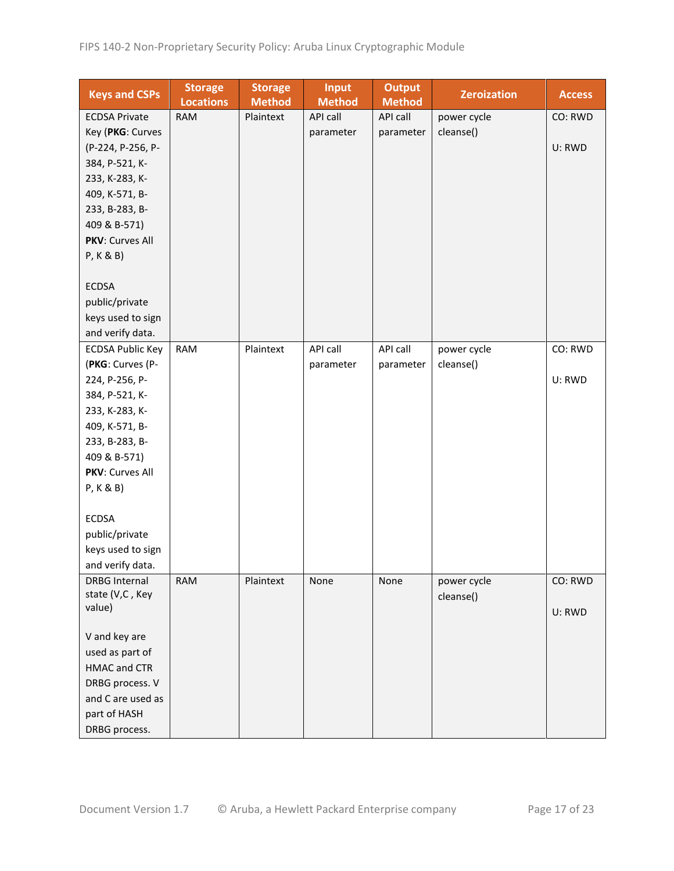| <b>Keys and CSPs</b>             | <b>Storage</b><br><b>Locations</b> | <b>Storage</b><br><b>Method</b> | <b>Input</b><br><b>Method</b> | <b>Output</b><br><b>Method</b> | <b>Zeroization</b> | <b>Access</b> |
|----------------------------------|------------------------------------|---------------------------------|-------------------------------|--------------------------------|--------------------|---------------|
| <b>ECDSA Private</b>             | <b>RAM</b>                         | Plaintext                       | API call                      | API call                       | power cycle        | CO: RWD       |
| Key (PKG: Curves                 |                                    |                                 | parameter                     | parameter                      | cleanse()          |               |
| (P-224, P-256, P-                |                                    |                                 |                               |                                |                    | U: RWD        |
| 384, P-521, K-                   |                                    |                                 |                               |                                |                    |               |
| 233, K-283, K-                   |                                    |                                 |                               |                                |                    |               |
| 409, K-571, B-                   |                                    |                                 |                               |                                |                    |               |
| 233, B-283, B-                   |                                    |                                 |                               |                                |                    |               |
| 409 & B-571)                     |                                    |                                 |                               |                                |                    |               |
| PKV: Curves All                  |                                    |                                 |                               |                                |                    |               |
| P, K & B)                        |                                    |                                 |                               |                                |                    |               |
|                                  |                                    |                                 |                               |                                |                    |               |
| <b>ECDSA</b>                     |                                    |                                 |                               |                                |                    |               |
| public/private                   |                                    |                                 |                               |                                |                    |               |
| keys used to sign                |                                    |                                 |                               |                                |                    |               |
| and verify data.                 |                                    |                                 |                               |                                |                    |               |
| <b>ECDSA Public Key</b>          | <b>RAM</b>                         | Plaintext                       | API call                      | API call                       | power cycle        | CO: RWD       |
| (PKG: Curves (P-                 |                                    |                                 | parameter                     | parameter                      | cleanse()          |               |
| 224, P-256, P-                   |                                    |                                 |                               |                                |                    | U: RWD        |
| 384, P-521, K-                   |                                    |                                 |                               |                                |                    |               |
| 233, K-283, K-                   |                                    |                                 |                               |                                |                    |               |
| 409, K-571, B-                   |                                    |                                 |                               |                                |                    |               |
| 233, B-283, B-                   |                                    |                                 |                               |                                |                    |               |
| 409 & B-571)                     |                                    |                                 |                               |                                |                    |               |
| PKV: Curves All                  |                                    |                                 |                               |                                |                    |               |
| P, K & B)                        |                                    |                                 |                               |                                |                    |               |
|                                  |                                    |                                 |                               |                                |                    |               |
| <b>ECDSA</b>                     |                                    |                                 |                               |                                |                    |               |
| public/private                   |                                    |                                 |                               |                                |                    |               |
| keys used to sign                |                                    |                                 |                               |                                |                    |               |
| and verify data.                 |                                    |                                 |                               |                                |                    |               |
| <b>DRBG Internal</b>             | <b>RAM</b>                         | Plaintext                       | None                          | None                           | power cycle        | CO: RWD       |
| state (V,C, Key                  |                                    |                                 |                               |                                | cleanse()          |               |
| value)                           |                                    |                                 |                               |                                |                    | U: RWD        |
|                                  |                                    |                                 |                               |                                |                    |               |
| V and key are<br>used as part of |                                    |                                 |                               |                                |                    |               |
| <b>HMAC and CTR</b>              |                                    |                                 |                               |                                |                    |               |
| DRBG process. V                  |                                    |                                 |                               |                                |                    |               |
| and C are used as                |                                    |                                 |                               |                                |                    |               |
| part of HASH                     |                                    |                                 |                               |                                |                    |               |
|                                  |                                    |                                 |                               |                                |                    |               |
| DRBG process.                    |                                    |                                 |                               |                                |                    |               |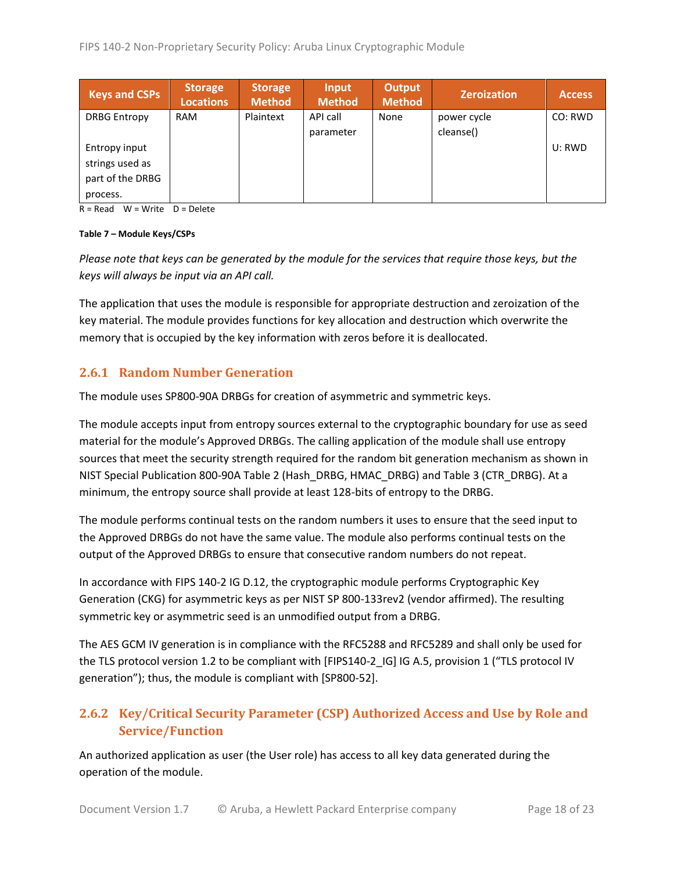| <b>Keys and CSPs</b> | <b>Storage</b><br><b>Locations</b> | <b>Storage</b><br><b>Method</b> | Input<br><b>Method</b> | <b>Output</b><br><b>Method</b> | <b>Zeroization</b> | <b>Access</b> |
|----------------------|------------------------------------|---------------------------------|------------------------|--------------------------------|--------------------|---------------|
| <b>DRBG Entropy</b>  | <b>RAM</b>                         | Plaintext                       | API call               | None                           | power cycle        | CO: RWD       |
|                      |                                    |                                 | parameter              |                                | cleanse()          |               |
| Entropy input        |                                    |                                 |                        |                                |                    | U: RWD        |
| strings used as      |                                    |                                 |                        |                                |                    |               |
| part of the DRBG     |                                    |                                 |                        |                                |                    |               |
| process.             |                                    |                                 |                        |                                |                    |               |

 $R = Read$  W = Write D = Delete

#### **Table 7 – Module Keys/CSPs**

*Please note that keys can be generated by the module for the services that require those keys, but the keys will always be input via an API call.*

The application that uses the module is responsible for appropriate destruction and zeroization of the key material. The module provides functions for key allocation and destruction which overwrite the memory that is occupied by the key information with zeros before it is deallocated.

#### <span id="page-17-0"></span>**2.6.1 Random Number Generation**

The module uses SP800-90A DRBGs for creation of asymmetric and symmetric keys.

The module accepts input from entropy sources external to the cryptographic boundary for use as seed material for the module's Approved DRBGs. The calling application of the module shall use entropy sources that meet the security strength required for the random bit generation mechanism as shown in NIST Special Publication 800-90A Table 2 (Hash\_DRBG, HMAC\_DRBG) and Table 3 (CTR\_DRBG). At a minimum, the entropy source shall provide at least 128-bits of entropy to the DRBG.

The module performs continual tests on the random numbers it uses to ensure that the seed input to the Approved DRBGs do not have the same value. The module also performs continual tests on the output of the Approved DRBGs to ensure that consecutive random numbers do not repeat.

In accordance with FIPS 140-2 IG D.12, the cryptographic module performs Cryptographic Key Generation (CKG) for asymmetric keys as per NIST SP 800-133rev2 (vendor affirmed). The resulting symmetric key or asymmetric seed is an unmodified output from a DRBG.

The AES GCM IV generation is in compliance with the RFC5288 and RFC5289 and shall only be used for the TLS protocol version 1.2 to be compliant with [FIPS140-2\_IG] IG A.5, provision 1 ("TLS protocol IV generation"); thus, the module is compliant with [SP800-52].

# <span id="page-17-1"></span>**2.6.2 Key/Critical Security Parameter (CSP) Authorized Access and Use by Role and Service/Function**

An authorized application as user (the User role) has access to all key data generated during the operation of the module.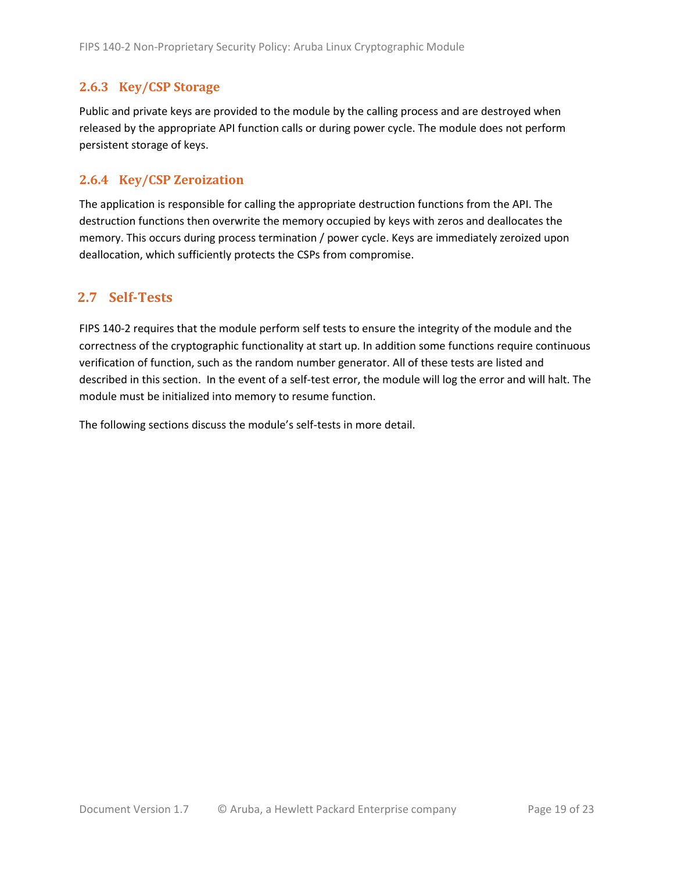### <span id="page-18-0"></span>**2.6.3 Key/CSP Storage**

Public and private keys are provided to the module by the calling process and are destroyed when released by the appropriate API function calls or during power cycle. The module does not perform persistent storage of keys.

### <span id="page-18-1"></span>**2.6.4 Key/CSP Zeroization**

The application is responsible for calling the appropriate destruction functions from the API. The destruction functions then overwrite the memory occupied by keys with zeros and deallocates the memory. This occurs during process termination / power cycle. Keys are immediately zeroized upon deallocation, which sufficiently protects the CSPs from compromise.

## <span id="page-18-2"></span>**2.7 Self-Tests**

FIPS 140-2 requires that the module perform self tests to ensure the integrity of the module and the correctness of the cryptographic functionality at start up. In addition some functions require continuous verification of function, such as the random number generator. All of these tests are listed and described in this section. In the event of a self-test error, the module will log the error and will halt. The module must be initialized into memory to resume function.

The following sections discuss the module's self-tests in more detail.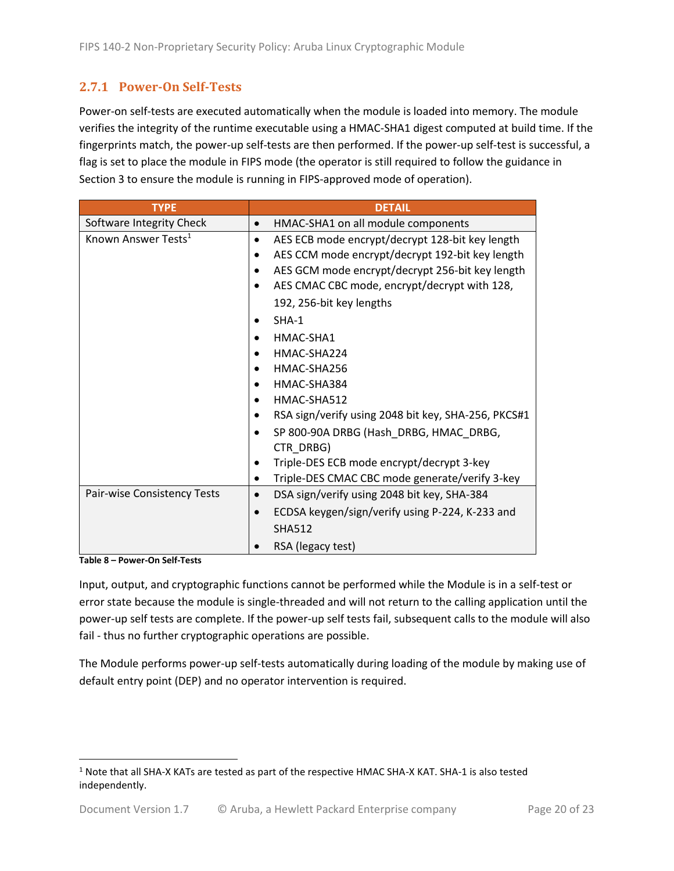## <span id="page-19-0"></span>**2.7.1 Power-On Self-Tests**

Power-on self-tests are executed automatically when the module is loaded into memory. The module verifies the integrity of the runtime executable using a HMAC-SHA1 digest computed at build time. If the fingerprints match, the power-up self-tests are then performed. If the power-up self-test is successful, a flag is set to place the module in FIPS mode (the operator is still required to follow the guidance in Section 3 to ensure the module is running in FIPS-approved mode of operation).

| <b>TYPE</b>                     | <b>DETAIL</b>                                            |
|---------------------------------|----------------------------------------------------------|
| Software Integrity Check        | HMAC-SHA1 on all module components<br>$\bullet$          |
| Known Answer Tests <sup>1</sup> | AES ECB mode encrypt/decrypt 128-bit key length          |
|                                 | AES CCM mode encrypt/decrypt 192-bit key length          |
|                                 | AES GCM mode encrypt/decrypt 256-bit key length          |
|                                 | AES CMAC CBC mode, encrypt/decrypt with 128,             |
|                                 | 192, 256-bit key lengths                                 |
|                                 | $SHA-1$                                                  |
|                                 | HMAC-SHA1                                                |
|                                 | HMAC-SHA224                                              |
|                                 | HMAC-SHA256                                              |
|                                 | HMAC-SHA384                                              |
|                                 | HMAC-SHA512                                              |
|                                 | RSA sign/verify using 2048 bit key, SHA-256, PKCS#1      |
|                                 | SP 800-90A DRBG (Hash DRBG, HMAC DRBG,                   |
|                                 | CTR DRBG)                                                |
|                                 | Triple-DES ECB mode encrypt/decrypt 3-key                |
|                                 | Triple-DES CMAC CBC mode generate/verify 3-key           |
| Pair-wise Consistency Tests     | DSA sign/verify using 2048 bit key, SHA-384<br>$\bullet$ |
|                                 | ECDSA keygen/sign/verify using P-224, K-233 and          |
|                                 | <b>SHA512</b>                                            |
|                                 | RSA (legacy test)                                        |

**Table 8 – Power-On Self-Tests**

Input, output, and cryptographic functions cannot be performed while the Module is in a self-test or error state because the module is single-threaded and will not return to the calling application until the power-up self tests are complete. If the power-up self tests fail, subsequent calls to the module will also fail - thus no further cryptographic operations are possible.

The Module performs power-up self-tests automatically during loading of the module by making use of default entry point (DEP) and no operator intervention is required.

<sup>1</sup> Note that all SHA-X KATs are tested as part of the respective HMAC SHA-X KAT. SHA-1 is also tested independently.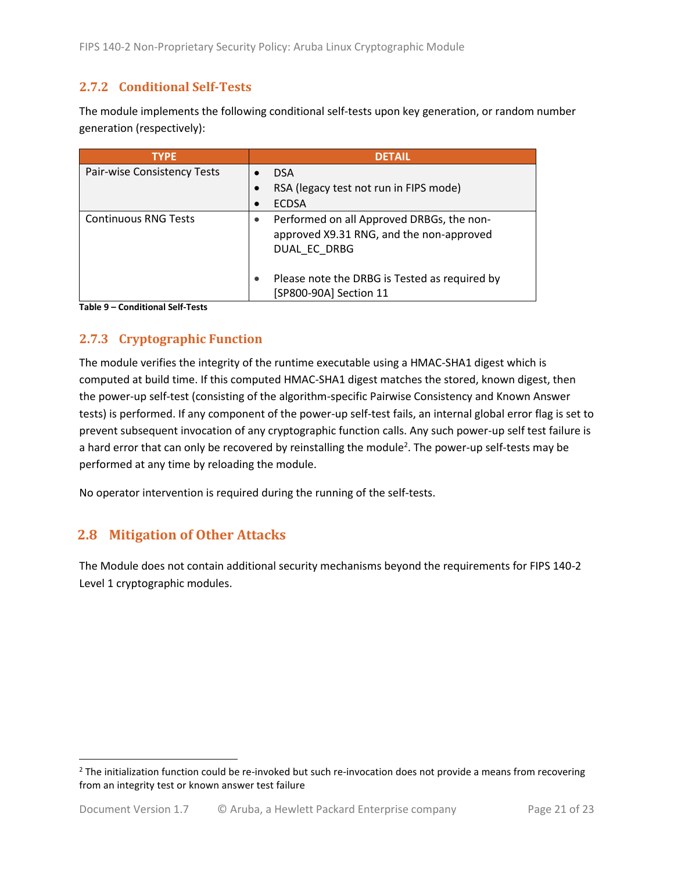## <span id="page-20-0"></span>**2.7.2 Conditional Self-Tests**

The module implements the following conditional self-tests upon key generation, or random number generation (respectively):

| <b>TYPE</b>                 | <b>DETAIL</b>                                                                                         |
|-----------------------------|-------------------------------------------------------------------------------------------------------|
| Pair-wise Consistency Tests | <b>DSA</b>                                                                                            |
|                             | RSA (legacy test not run in FIPS mode)                                                                |
|                             | <b>ECDSA</b><br>$\bullet$                                                                             |
| <b>Continuous RNG Tests</b> | Performed on all Approved DRBGs, the non-<br>approved X9.31 RNG, and the non-approved<br>DUAL EC DRBG |
|                             | Please note the DRBG is Tested as required by<br>[SP800-90A] Section 11                               |

**Table 9 – Conditional Self-Tests**

## <span id="page-20-1"></span>**2.7.3 Cryptographic Function**

The module verifies the integrity of the runtime executable using a HMAC-SHA1 digest which is computed at build time. If this computed HMAC-SHA1 digest matches the stored, known digest, then the power-up self-test (consisting of the algorithm-specific Pairwise Consistency and Known Answer tests) is performed. If any component of the power-up self-test fails, an internal global error flag is set to prevent subsequent invocation of any cryptographic function calls. Any such power-up self test failure is a hard error that can only be recovered by reinstalling the module<sup>2</sup>. The power-up self-tests may be performed at any time by reloading the module.

No operator intervention is required during the running of the self-tests.

## <span id="page-20-2"></span>**2.8 Mitigation of Other Attacks**

The Module does not contain additional security mechanisms beyond the requirements for FIPS 140-2 Level 1 cryptographic modules.

 $2$  The initialization function could be re-invoked but such re-invocation does not provide a means from recovering from an integrity test or known answer test failure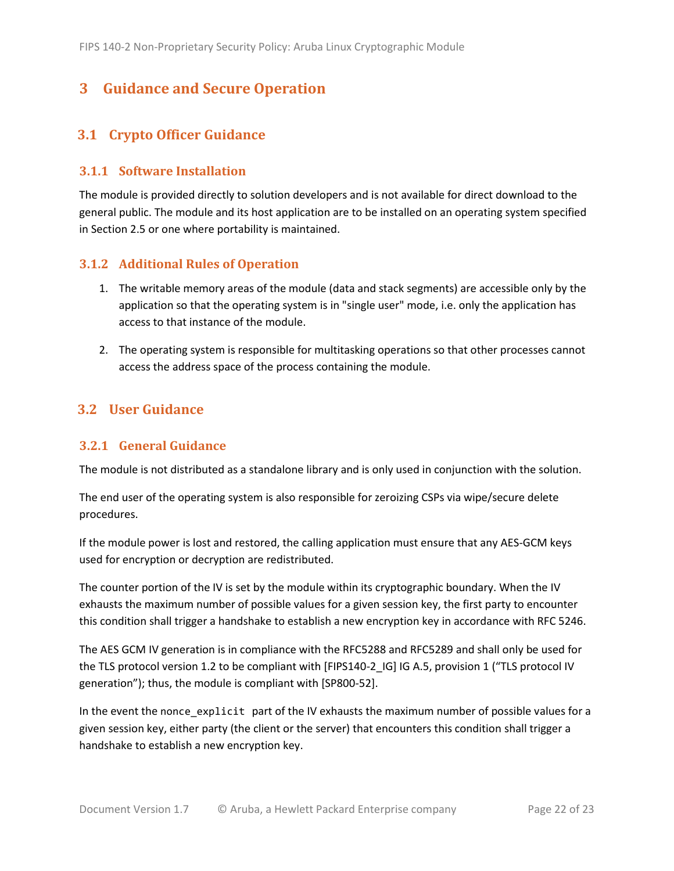# <span id="page-21-0"></span>**3 Guidance and Secure Operation**

## <span id="page-21-1"></span>**3.1 Crypto Officer Guidance**

#### <span id="page-21-2"></span>**3.1.1 Software Installation**

The module is provided directly to solution developers and is not available for direct download to the general public. The module and its host application are to be installed on an operating system specified in Section [2.5](#page-13-2) or one where portability is maintained.

#### <span id="page-21-3"></span>**3.1.2 Additional Rules of Operation**

- 1. The writable memory areas of the module (data and stack segments) are accessible only by the application so that the operating system is in "single user" mode, i.e. only the application has access to that instance of the module.
- 2. The operating system is responsible for multitasking operations so that other processes cannot access the address space of the process containing the module.

### <span id="page-21-4"></span>**3.2 User Guidance**

#### <span id="page-21-5"></span>**3.2.1 General Guidance**

The module is not distributed as a standalone library and is only used in conjunction with the solution.

The end user of the operating system is also responsible for zeroizing CSPs via wipe/secure delete procedures.

If the module power is lost and restored, the calling application must ensure that any AES-GCM keys used for encryption or decryption are redistributed.

The counter portion of the IV is set by the module within its cryptographic boundary. When the IV exhausts the maximum number of possible values for a given session key, the first party to encounter this condition shall trigger a handshake to establish a new encryption key in accordance with RFC 5246.

The AES GCM IV generation is in compliance with the RFC5288 and RFC5289 and shall only be used for the TLS protocol version 1.2 to be compliant with [FIPS140-2 IG] IG A.5, provision 1 ("TLS protocol IV generation"); thus, the module is compliant with [SP800-52].

In the event the nonce\_explicit part of the IV exhausts the maximum number of possible values for a given session key, either party (the client or the server) that encounters this condition shall trigger a handshake to establish a new encryption key.